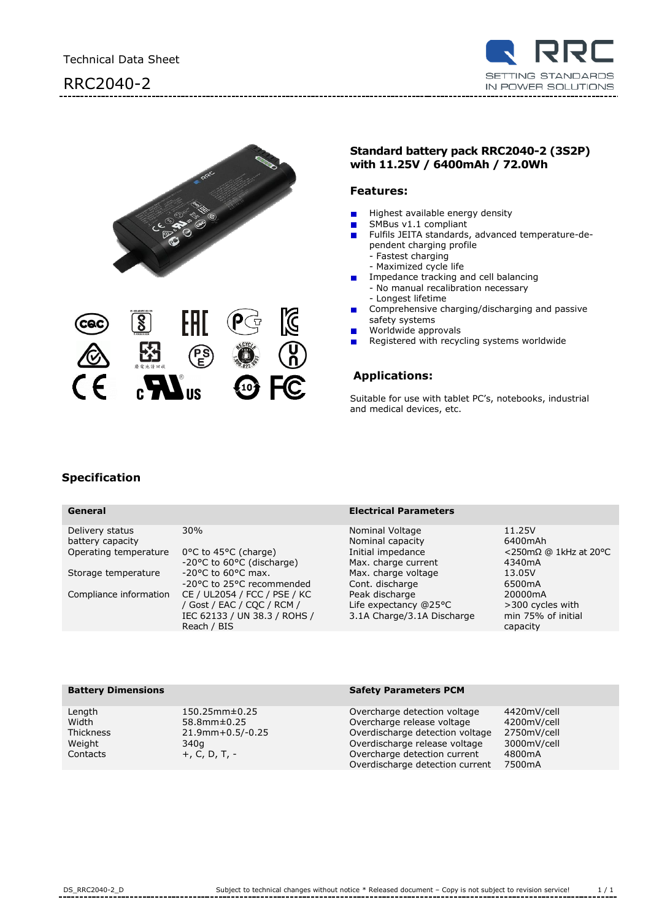# RRC2040-2





### **Standard battery pack RRC2040-2 (3S2P) with 11.25V / 6400mAh / 72.0Wh**

### **Features:**

- Highest available energy density п
	- SMBus v1.1 compliant
- Fulfils JEITA standards, advanced temperature-de- $\blacksquare$ pendent charging profile
	- Fastest charging
	- Maximized cycle life
- Impedance tracking and cell balancing
	- No manual recalibration necessary
	- Longest lifetime
- Comprehensive charging/discharging and passive safety systems
- Worldwide approvals
- Registered with recycling systems worldwide

## **Applications:**

Suitable for use with tablet PC's, notebooks, industrial and medical devices, etc.

## **Specification**

### **General Electrical Parameters** Delivery status 30% 30% Nominal Voltage 11.25V<br>
battery capacity 30% 11.25V Nominal capacity 6400mAh battery capacity and the Compact of Communicapacity of B400mAh<br>Operating temperature 0°C to 45°C (charge) and Initial impedance communicating temperature 10°C to 45°C (charge) Operating temperature 0°C to 45°C (charge) Initial impedance <250mΩ<br>20°C to 60°C (discharge) Max. charge current 4340mA -20 $^{\circ}$ C to 60 $^{\circ}$ C (discharge) Storage temperature  $-20^{\circ}$ C to 60°C max. Max. charge voltage 13.05V<br>-20°C to 25°C recommended Cont. discharge 6500mA -20°C to 25°C recommended Cont. discharge 6500mA<br>CE / UL2054 / FCC / PSE / KC Peak discharge 650000mA Compliance information CE / UL2054 / FCC / PSE / KC Peak discharge / Gost / EAC / CQC / RCM / IEC 62133 / UN 38.3 / ROHS / Reach / BIS Life expectancy @25°C 3.1A Charge/3.1A Discharge >300 cycles with min 75% of initial capacity

### **Battery Dimensions Safety Parameters PCM**

Length 150.25mm±0.25 Overcharge detection voltage 4420mV/cell Width 58.8mm±0.25 Overcharge release voltage 4200mV/cell Thickness 21.9mm+0.5/-0.25 Overdischarge detection voltage 2750mV/cell Weight 340g 340g 340g Contacts 3000mV/cell<br>Contacts 3000mV/cell +, C, D, T, - Contacts 3000mV/cell Contacts +, C, D, T, - Overcharge detection current 4800mA Overdischarge detection current 7500mA